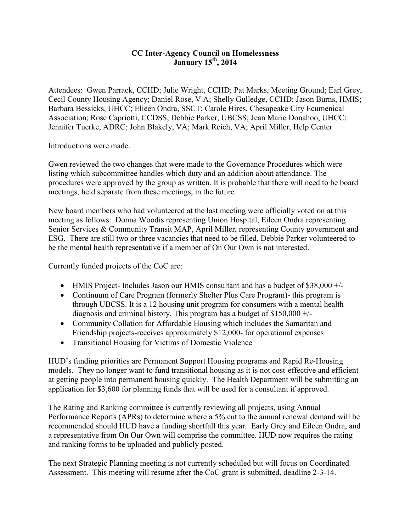## **CC Inter-Agency Council on Homelessness January 15th, 2014**

Attendees: Gwen Parrack, CCHD; Julie Wright, CCHD; Pat Marks, Meeting Ground; Earl Grey, Cecil County Housing Agency; Daniel Rose, V.A; Shelly Gulledge, CCHD; Jason Burns, HMIS; Barbara Bessicks, UHCC; Elieen Ondra, SSCT; Carole Hires, Chesapeake City Ecumenical Association; Rose Capriotti, CCDSS, Debbie Parker, UBCSS; Jean Marie Donahoo, UHCC; Jennifer Tuerke, ADRC; John Blakely, VA; Mark Reich, VA; April Miller, Help Center

Introductions were made.

Gwen reviewed the two changes that were made to the Governance Procedures which were listing which subcommittee handles which duty and an addition about attendance. The procedures were approved by the group as written. It is probable that there will need to be board meetings, held separate from these meetings, in the future.

New board members who had volunteered at the last meeting were officially voted on at this meeting as follows: Donna Woodis representing Union Hospital, Eileen Ondra representing Senior Services & Community Transit MAP, April Miller, representing County government and ESG. There are still two or three vacancies that need to be filled. Debbie Parker volunteered to be the mental health representative if a member of On Our Own is not interested.

Currently funded projects of the CoC are:

- HMIS Project- Includes Jason our HMIS consultant and has a budget of \$38,000 +/-
- Continuum of Care Program (formerly Shelter Plus Care Program)- this program is through UBCSS. It is a 12 housing unit program for consumers with a mental health diagnosis and criminal history. This program has a budget of \$150,000 +/-
- Community Collation for Affordable Housing which includes the Samaritan and Friendship projects-receives approximately \$12,000- for operational expenses
- Transitional Housing for Victims of Domestic Violence

HUD's funding priorities are Permanent Support Housing programs and Rapid Re-Housing models. They no longer want to fund transitional housing as it is not cost-effective and efficient at getting people into permanent housing quickly. The Health Department will be submitting an application for \$3,600 for planning funds that will be used for a consultant if approved.

The Rating and Ranking committee is currently reviewing all projects, using Annual Performance Reports (APRs) to determine where a 5% cut to the annual renewal demand will be recommended should HUD have a funding shortfall this year. Early Grey and Eileen Ondra, and a representative from On Our Own will comprise the committee. HUD now requires the rating and ranking forms to be uploaded and publicly posted.

The next Strategic Planning meeting is not currently scheduled but will focus on Coordinated Assessment. This meeting will resume after the CoC grant is submitted, deadline 2-3-14.